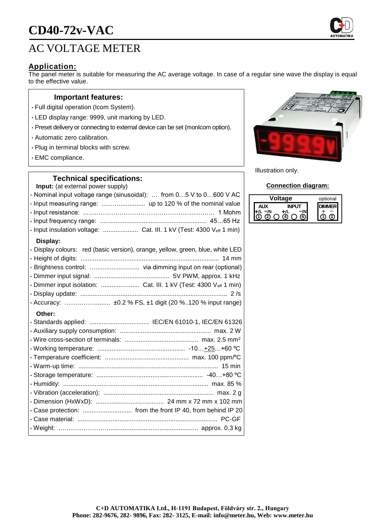# **CD40-72v-VAC**

## AC VOLTAGE METER

### **Application:**

The panel meter is suitable for measuring the AC average voltage. In case of a regular sine wave the display is equal to the effective value.

#### **Important features:**

- Full digital operation (Icom System).
- LED display range: 9999, unit marking by LED.
- Preset delivery or connecting to external device can be set (monIcom option).
- Automatic zero calibration.
- Plug in terminal blocks with screw.
- EMC compliance.

#### **Technical specifications:**

**Input:** (at external power supply)

| , at <i>ontornal</i> po <i>nol</i> cappiy, |                                                                                |
|--------------------------------------------|--------------------------------------------------------------------------------|
|                                            | · Nominal input voltage range (sinusoidal):  from 05 V to 0600 V AC            |
|                                            |                                                                                |
|                                            |                                                                                |
|                                            |                                                                                |
|                                            | · Input insulation voltage:  Cat. III. 1 kV (Test: 4300 Veff 1 min)            |
| Display:                                   |                                                                                |
|                                            | · Display colours: red (basic version), orange, yellow, green, blue, white LED |
|                                            |                                                                                |
|                                            |                                                                                |
|                                            |                                                                                |
|                                            |                                                                                |
|                                            |                                                                                |
|                                            |                                                                                |
| Other:                                     |                                                                                |
| . Standards annlied: .                     | IEC/EN 61010-1 IEC/EN 61326                                                    |



Illustration only.

#### **Connection diagram:**

| tage | optional |
|------|----------|
|      |          |